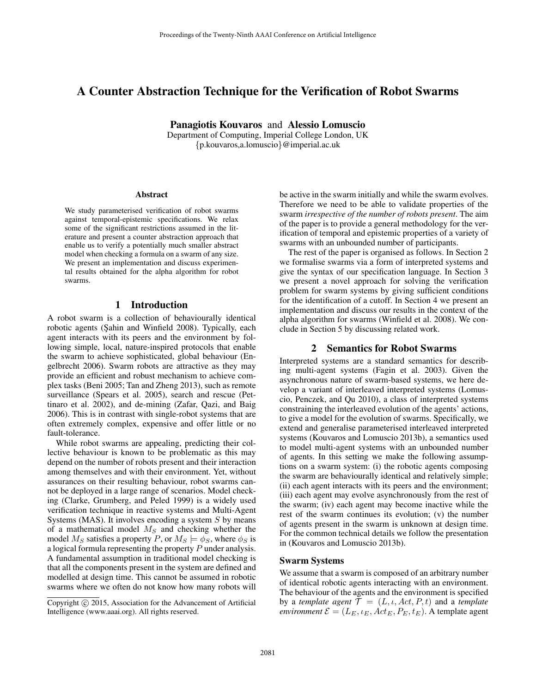# A Counter Abstraction Technique for the Verification of Robot Swarms

Panagiotis Kouvaros and Alessio Lomuscio

Department of Computing, Imperial College London, UK {p.kouvaros,a.lomuscio}@imperial.ac.uk

#### Abstract

We study parameterised verification of robot swarms against temporal-epistemic specifications. We relax some of the significant restrictions assumed in the literature and present a counter abstraction approach that enable us to verify a potentially much smaller abstract model when checking a formula on a swarm of any size. We present an implementation and discuss experimental results obtained for the alpha algorithm for robot swarms.

# 1 Introduction

A robot swarm is a collection of behaviourally identical robotic agents (Şahin and Winfield 2008). Typically, each agent interacts with its peers and the environment by following simple, local, nature-inspired protocols that enable the swarm to achieve sophisticated, global behaviour (Engelbrecht 2006). Swarm robots are attractive as they may provide an efficient and robust mechanism to achieve complex tasks (Beni 2005; Tan and Zheng 2013), such as remote surveillance (Spears et al. 2005), search and rescue (Pettinaro et al. 2002), and de-mining (Zafar, Qazi, and Baig 2006). This is in contrast with single-robot systems that are often extremely complex, expensive and offer little or no fault-tolerance.

While robot swarms are appealing, predicting their collective behaviour is known to be problematic as this may depend on the number of robots present and their interaction among themselves and with their environment. Yet, without assurances on their resulting behaviour, robot swarms cannot be deployed in a large range of scenarios. Model checking (Clarke, Grumberg, and Peled 1999) is a widely used verification technique in reactive systems and Multi-Agent Systems (MAS). It involves encoding a system  $S$  by means of a mathematical model  $M_S$  and checking whether the model  $M_S$  satisfies a property P, or  $M_S \models \phi_S$ , where  $\phi_S$  is a logical formula representing the property P under analysis. A fundamental assumption in traditional model checking is that all the components present in the system are defined and modelled at design time. This cannot be assumed in robotic swarms where we often do not know how many robots will

be active in the swarm initially and while the swarm evolves. Therefore we need to be able to validate properties of the swarm *irrespective of the number of robots present*. The aim of the paper is to provide a general methodology for the verification of temporal and epistemic properties of a variety of swarms with an unbounded number of participants.

The rest of the paper is organised as follows. In Section 2 we formalise swarms via a form of interpreted systems and give the syntax of our specification language. In Section 3 we present a novel approach for solving the verification problem for swarm systems by giving sufficient conditions for the identification of a cutoff. In Section 4 we present an implementation and discuss our results in the context of the alpha algorithm for swarms (Winfield et al. 2008). We conclude in Section 5 by discussing related work.

## 2 Semantics for Robot Swarms

Interpreted systems are a standard semantics for describing multi-agent systems (Fagin et al. 2003). Given the asynchronous nature of swarm-based systems, we here develop a variant of interleaved interpreted systems (Lomuscio, Penczek, and Qu 2010), a class of interpreted systems constraining the interleaved evolution of the agents' actions, to give a model for the evolution of swarms. Specifically, we extend and generalise parameterised interleaved interpreted systems (Kouvaros and Lomuscio 2013b), a semantics used to model multi-agent systems with an unbounded number of agents. In this setting we make the following assumptions on a swarm system: (i) the robotic agents composing the swarm are behaviourally identical and relatively simple; (ii) each agent interacts with its peers and the environment; (iii) each agent may evolve asynchronously from the rest of the swarm; (iv) each agent may become inactive while the rest of the swarm continues its evolution; (v) the number of agents present in the swarm is unknown at design time. For the common technical details we follow the presentation in (Kouvaros and Lomuscio 2013b).

#### Swarm Systems

We assume that a swarm is composed of an arbitrary number of identical robotic agents interacting with an environment. The behaviour of the agents and the environment is specified by a *template agent*  $\mathcal{T} = (L, \iota, Act, P, t)$  and a *template environment*  $\mathcal{E} = (L_E, \iota_E, \text{Act}_E, P_E, t_E)$ . A template agent

Copyright (c) 2015, Association for the Advancement of Artificial Intelligence (www.aaai.org). All rights reserved.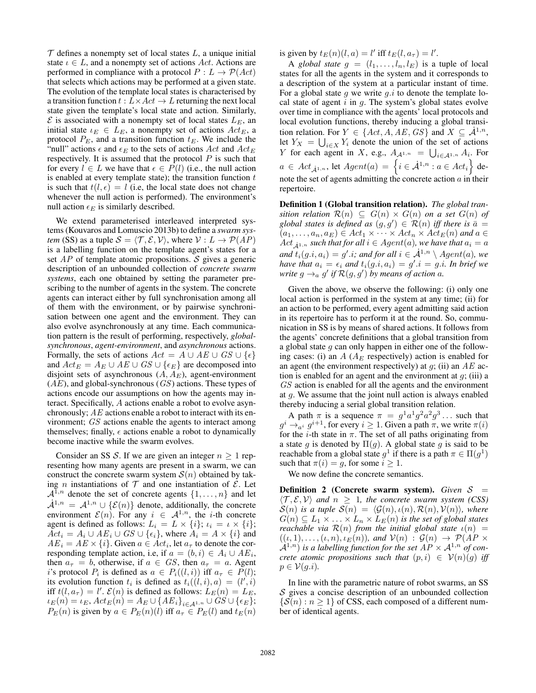$T$  defines a nonempty set of local states  $L$ , a unique initial state  $\iota \in L$ , and a nonempty set of actions Act. Actions are performed in compliance with a protocol  $P: L \to \mathcal{P}(Act)$ that selects which actions may be performed at a given state. The evolution of the template local states is characterised by a transition function  $t : L \times Act \rightarrow L$  returning the next local state given the template's local state and action. Similarly,  $\mathcal E$  is associated with a nonempty set of local states  $L_E$ , an initial state  $\iota_E \in L_E$ , a nonempty set of actions  $Act_E$ , a protocol  $P_E$ , and a transition function  $t_E$ . We include the "null" actions  $\epsilon$  and  $\epsilon_E$  to the sets of actions Act and Act<sub>E</sub> respectively. It is assumed that the protocol  $P$  is such that for every  $l \in L$  we have that  $\epsilon \in P(l)$  (i.e., the null action is enabled at every template state); the transition function  $t$ is such that  $t(l, \epsilon) = l$  (i.e, the local state does not change whenever the null action is performed). The environment's null action  $\epsilon_E$  is similarly described.

We extend parameterised interleaved interpreted systems (Kouvaros and Lomuscio 2013b) to define a *swarm system* (SS) as a tuple  $S = \langle T, \mathcal{E}, \mathcal{V} \rangle$ , where  $\mathcal{V} : L \to \mathcal{P}(AP)$ is a labelling function on the template agent's states for a set  $AP$  of template atomic propositions. S gives a generic description of an unbounded collection of *concrete swarm systems*, each one obtained by setting the parameter prescribing to the number of agents in the system. The concrete agents can interact either by full synchronisation among all of them with the environment, or by pairwise synchronisation between one agent and the environment. They can also evolve asynchronously at any time. Each communication pattern is the result of performing, respectively, *globalsynchronous*, *agent-environment*, and *asynchronous* actions. Formally, the sets of actions  $Act = A \cup AE \cup GS \cup \{\epsilon\}$ and  $Act_E = A_E \cup AE \cup GS \cup \{\epsilon_E\}$  are decomposed into disjoint sets of asynchronous  $(A, A_E)$ , agent-environment  $(AE)$ , and global-synchronous  $(GS)$  actions. These types of actions encode our assumptions on how the agents may interact. Specifically, A actions enable a robot to evolve asynchronously;  $AE$  actions enable a robot to interact with its environment; GS actions enable the agents to interact among themselves; finally,  $\epsilon$  actions enable a robot to dynamically become inactive while the swarm evolves.

Consider an SS S. If we are given an integer  $n \geq 1$  representing how many agents are present in a swarm, we can construct the concrete swarm system  $S(n)$  obtained by taking *n* instantiations of  $T$  and one instantiation of  $\mathcal{E}$ . Let  $\mathcal{A}^{1,n}$  denote the set of concrete agents  $\{1,\ldots,n\}$  and let  $\mathcal{A}^{1,n} = \mathcal{A}^{1,n} \cup \{\mathcal{E}(n)\}\$  denote, additionally, the concrete environment  $\mathcal{E}(n)$ . For any  $i \in \mathcal{A}^{1,n}$ , the *i*-th concrete agent is defined as follows:  $L_i = L \times \{i\};$   $\iota_i = \iota \times \{i\};$  $Act_i = A_i \cup AE_i \cup GS \cup \{\epsilon_i\}$ , where  $A_i = A \times \{i\}$  and  $AE_i = AE \times \{i\}$ . Given  $a \in Act_i$ , let  $a_\tau$  to denote the corresponding template action, i.e, if  $a = (b, i) \in A_i \cup AE_i$ , then  $a_{\tau} = b$ , otherwise, if  $a \in GS$ , then  $a_{\tau} = a$ . Agent i's protocol  $P_i$  is defined as  $a \in P_i((l,i))$  iff  $a_\tau \in P(l)$ ; its evolution function  $t_i$  is defined as  $t_i((l, i), a) = (l', i)$ iff  $t(l, a_{\tau}) = l'$ .  $\mathcal{E}(n)$  is defined as follows:  $\hat{L}_E(n) = L_E$ ,  $\iota_E(n) = \iota_E$ ,  $Act_E(n) = A_E \cup \{AE_i\}_{i \in \mathcal{A}^{1,n}} \cup GS \cup \{\epsilon_E\};$  $P_E(n)$  is given by  $a \in P_E(n)(l)$  iff  $a_\tau \in P_E(l)$  and  $t_E(n)$ 

is given by  $t_E(n)(l, a) = l'$  iff  $t_E(l, a_\tau) = l'$ .

A *global state*  $g = (l_1, \ldots, l_n, l_E)$  is a tuple of local states for all the agents in the system and it corresponds to a description of the system at a particular instant of time. For a global state  $g$  we write  $g.i$  to denote the template local state of agent  $i$  in  $g$ . The system's global states evolve over time in compliance with the agents' local protocols and local evolution functions, thereby inducing a global transition relation. For  $Y \in \{Act, A, AE, GS\}$  and  $X \subseteq \mathcal{A}^{1,n}$ , let  $Y_X = \bigcup_{i \in X} Y_i$  denote the union of the set of actions Y for each agent in X, e.g.,  $A_{\mathcal{A}^{1,n}} = \bigcup_{i \in \mathcal{A}^{1,n}} A_i$ . For  $a \in \mathit{Act}_{\dot{\mathcal{A}}^{1,n}}$ , let  $\mathit{Agent}(a) = \left\{i \in \dot{\mathcal{A}}^{1,n} : a \in \mathit{Act}_i\right\}$  denote the set of agents admitting the concrete action  $a$  in their repertoire.

Definition 1 (Global transition relation). *The global transition relation*  $\mathcal{R}(n) \subseteq G(n) \times G(n)$  *on a set*  $G(n)$  *of* global states is defined as  $(g, g') \in \mathcal{R}(n)$  iff there is  $\bar{a} =$  $(a_1, \ldots, a_n, a_E) \in Act_1 \times \cdots \times Act_n \times Act_E(n)$  and  $a \in$  $Act_{\lambda^{1,n}}$  *such that for all*  $i \in Agent(a)$ *, we have that*  $a_i = a$ and  $t_i(g.i, a_i) = g'.i$ ; and for all  $i \in \dot{\mathcal{A}}^{1,n} \setminus Agent(a)$ , we have that  $a_i = \epsilon_i$  and  $t_i(g.i, a_i) = g'.i = g.i$ . In brief we *write*  $g \rightarrow_a g'$  *if*  $\mathcal{R}(g, g')$  *by means of action a.* 

Given the above, we observe the following: (i) only one local action is performed in the system at any time; (ii) for an action to be performed, every agent admitting said action in its repertoire has to perform it at the round. So, communication in SS is by means of shared actions. It follows from the agents' concrete definitions that a global transition from a global state  $g$  can only happen in either one of the following cases: (i) an  $A(A<sub>E</sub>$  respectively) action is enabled for an agent (the environment respectively) at  $g$ ; (ii) an  $AE$  action is enabled for an agent and the environment at  $g$ ; (iii) a GS action is enabled for all the agents and the environment at  $g$ . We assume that the joint null action is always enabled thereby inducing a serial global transition relation.

A path  $\pi$  is a sequence  $\pi = g^1 a^1 g^2 a^2 g^3 \dots$  such that  $g^i \rightarrow_{a^i} g^{i+1}$ , for every  $i \ge 1$ . Given a path  $\pi$ , we write  $\pi(i)$ for the *i*-th state in  $\pi$ . The set of all paths originating from a state g is denoted by  $\Pi(g)$ . A global state g is said to be reachable from a global state  $g^1$  if there is a path  $\pi \in \Pi(g^1)$ such that  $\pi(i) = q$ , for some  $i \geq 1$ .

We now define the concrete semantics.

Definition 2 (Concrete swarm system). *Given*  $S =$  $\langle \mathcal{T}, \mathcal{E}, \mathcal{V} \rangle$  *and*  $n \geq 1$ *, the concrete swarm system (CSS)*  $S(n)$  *is a tuple*  $S(n) = \langle \mathcal{G}(n), \iota(n), \mathcal{R}(n), \mathcal{V}(n) \rangle$ *, where*  $G(n) \subseteq L_1 \times \ldots \times L_n \times L_E(n)$  *is the set of global states reachable via*  $\mathcal{R}(n)$  *from the initial global state*  $\iota(n)$  =  $((\iota, 1), \ldots, (\iota, n), \iota_E(n))$ *, and*  $V(n) : \mathcal{G}(n) \rightarrow \mathcal{P}(AP \times$  $\mathcal{A}^{1,n}$ ) *is a labelling function for the set*  $AP \times \mathcal{A}^{1,n}$  *of concrete atomic propositions such that*  $(p, i) \in V(n)(q)$  *iff*  $p \in \mathcal{V}(g.i)$ .

In line with the parametric nature of robot swarms, an SS  $S$  gives a concise description of an unbounded collection  $\{\mathcal{S}(n) : n \geq 1\}$  of CSS, each composed of a different number of identical agents.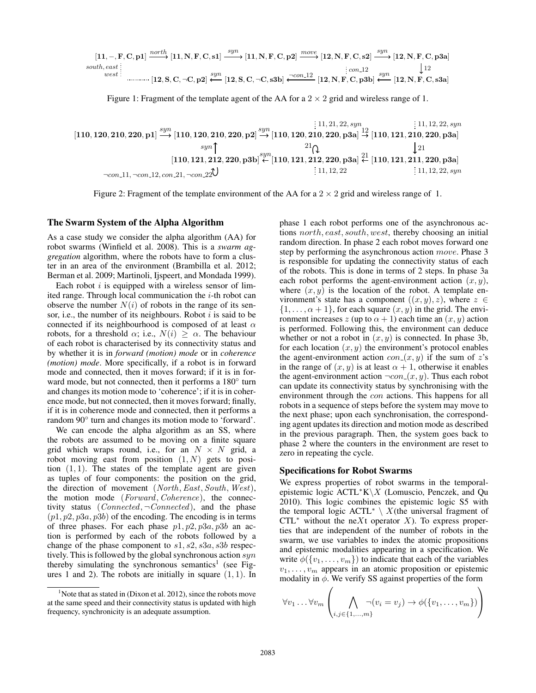$$
[11, -, F, C, p1] \xrightarrow{north} [11, N, F, C, s1] \xrightarrow{syn} [11, N, F, C, p2] \xrightarrow{move} [12, N, F, C, s2] \xrightarrow{syn} [12, N, F, C, p3a]
$$
  
\n*south, east*:  
\n*west*:  
\n
$$
[12, S, C, \neg C, p2] \xleftarrow{syn} [12, S, C, \neg C, s3b] \xleftarrow{con.12} [12, N, F, C, p3b] \xleftarrow{syn} [12, N, F, C, s3a]
$$

Figure 1: Fragment of the template agent of the AA for a  $2 \times 2$  grid and wireless range of 1.

[110, 120, 210, 220, p1] [110, 120, 210, 220, p2] [110, 120, 210, 220, p3a] [110, 121, 210, 220, p3a] [110, 121, 212, 220, p3b] [110, 121, 212, 220, p3a] [110, 121, 211, 220, p3a] syn syn 12 21 syn 21 11, 21, 22, syn <sup>¬</sup>con <sup>11</sup>, <sup>¬</sup>con <sup>12</sup>, con <sup>21</sup>, <sup>¬</sup>con <sup>22</sup> <sup>11</sup>, <sup>12</sup>, <sup>22</sup> <sup>11</sup>, <sup>12</sup>, <sup>22</sup>, syn 21 11, 12, 22, syn syn

Figure 2: Fragment of the template environment of the AA for a  $2 \times 2$  grid and wireless range of 1.

#### The Swarm System of the Alpha Algorithm

As a case study we consider the alpha algorithm (AA) for robot swarms (Winfield et al. 2008). This is a *swarm aggregation* algorithm, where the robots have to form a cluster in an area of the environment (Brambilla et al. 2012; Berman et al. 2009; Martinoli, Ijspeert, and Mondada 1999).

Each robot  $i$  is equipped with a wireless sensor of limited range. Through local communication the  $i$ -th robot can observe the number  $N(i)$  of robots in the range of its sensor, i.e., the number of its neighbours. Robot  $i$  is said to be connected if its neighbourhood is composed of at least  $\alpha$ robots, for a threshold  $\alpha$ ; i.e.,  $N(i) \geq \alpha$ . The behaviour of each robot is characterised by its connectivity status and by whether it is in *forward (motion) mode* or in *coherence (motion) mode*. More specifically, if a robot is in forward mode and connected, then it moves forward; if it is in forward mode, but not connected, then it performs a 180° turn and changes its motion mode to 'coherence'; if it is in coherence mode, but not connected, then it moves forward; finally, if it is in coherence mode and connected, then it performs a random 90◦ turn and changes its motion mode to 'forward'.

We can encode the alpha algorithm as an SS, where the robots are assumed to be moving on a finite square grid which wraps round, i.e., for an  $N \times N$  grid, a robot moving east from position  $(1, N)$  gets to position  $(1, 1)$ . The states of the template agent are given as tuples of four components: the position on the grid, the direction of movement (North, East, South, West), the motion mode (Forward, Coherence), the connectivity status (*Connected*,  $\neg Connected$ ), and the phase  $(p1, p2, p3a, p3b)$  of the encoding. The encoding is in terms of three phases. For each phase  $p_1, p_2, p_3a, p_3b$  an action is performed by each of the robots followed by a change of the phase component to  $s1, s2, s3a, s3b$  respectively. This is followed by the global synchronous action  $syn$ thereby simulating the synchronous semantics<sup>1</sup> (see Figures 1 and 2). The robots are initially in square  $(1, 1)$ . In phase 1 each robot performs one of the asynchronous actions north, east, south, west, thereby choosing an initial random direction. In phase 2 each robot moves forward one step by performing the asynchronous action move. Phase 3 is responsible for updating the connectivity status of each of the robots. This is done in terms of 2 steps. In phase 3a each robot performs the agent-environment action  $(x, y)$ , where  $(x, y)$  is the location of the robot. A template environment's state has a component  $((x, y), z)$ , where  $z \in$  $\{1, \ldots, \alpha + 1\}$ , for each square  $(x, y)$  in the grid. The environment increases  $z$  (up to  $\alpha + 1$ ) each time an  $(x, y)$  action is performed. Following this, the environment can deduce whether or not a robot in  $(x, y)$  is connected. In phase 3b, for each location  $(x, y)$  the environment's protocol enables the agent-environment action  $con_{-}(x, y)$  if the sum of z's in the range of  $(x, y)$  is at least  $\alpha + 1$ , otherwise it enables the agent-environment action  $\neg con(x, y)$ . Thus each robot can update its connectivity status by synchronising with the environment through the con actions. This happens for all robots in a sequence of steps before the system may move to the next phase; upon each synchronisation, the corresponding agent updates its direction and motion mode as described in the previous paragraph. Then, the system goes back to phase 2 where the counters in the environment are reset to zero in repeating the cycle.

#### Specifications for Robot Swarms

 $\sqrt{ }$ 

We express properties of robot swarms in the temporalepistemic logic  $\text{ACTL}^*K\ X$  (Lomuscio, Penczek, and Qu 2010). This logic combines the epistemic logic S5 with the temporal logic  $\text{ACTL}^* \setminus X$ (the universal fragment of CTL<sup> $*$ </sup> without the neXt operator X). To express properties that are independent of the number of robots in the swarm, we use variables to index the atomic propositions and epistemic modalities appearing in a specification. We write  $\phi({v_1, \ldots, v_m})$  to indicate that each of the variables  $v_1, \ldots, v_m$  appears in an atomic proposition or epistemic modality in  $\phi$ . We verify SS against properties of the form

$$
\forall v_1 \dots \forall v_m \left( \bigwedge_{i,j \in \{1,\dots,m\}} \neg(v_i = v_j) \to \phi(\{v_1,\dots,v_m\}) \right)
$$

<sup>&</sup>lt;sup>1</sup>Note that as stated in (Dixon et al. 2012), since the robots move at the same speed and their connectivity status is updated with high frequency, synchronicity is an adequate assumption.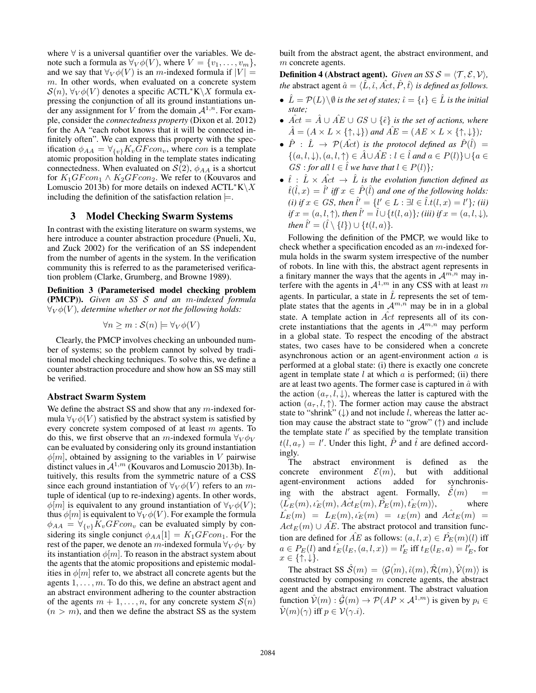where ∀ is a universal quantifier over the variables. We denote such a formula as  $\forall V \phi(V)$ , where  $V = \{v_1, \dots, v_m\},$ and we say that  $\forall V \phi(V)$  is an m-indexed formula if  $|V| =$ m. In other words, when evaluated on a concrete system  $S(n)$ ,  $\forall V \phi(V)$  denotes a specific ACTL\*K\X formula expressing the conjunction of all its ground instantiations under any assignment for V from the domain  $A^{1,n}$ . For example, consider the *connectedness property* (Dixon et al. 2012) for the AA "each robot knows that it will be connected infinitely often". We can express this property with the specification  $\phi_{AA} = \forall_{\{v\}} K_v G F con_v$ , where con is a template atomic proposition holding in the template states indicating connectedness. When evaluated on  $S(2)$ ,  $\phi_{AA}$  is a shortcut for  $K_1GFcon_1 \wedge K_2GFcon_2$ . We refer to (Kouvaros and Lomuscio 2013b) for more details on indexed  $\text{ACTL}^*K\backslash X$ including the definition of the satisfaction relation  $\models$ .

# 3 Model Checking Swarm Systems

In contrast with the existing literature on swarm systems, we here introduce a counter abstraction procedure (Pnueli, Xu, and Zuck 2002) for the verification of an SS independent from the number of agents in the system. In the verification community this is referred to as the parameterised verification problem (Clarke, Grumberg, and Browne 1989).

Definition 3 (Parameterised model checking problem (PMCP)). *Given an SS* S *and an* m*-indexed formula*  $\forall_V \phi(V)$ , determine whether or not the following holds:

$$
\forall n \ge m : \mathcal{S}(n) \models \forall_V \phi(V)
$$

Clearly, the PMCP involves checking an unbounded number of systems; so the problem cannot by solved by traditional model checking techniques. To solve this, we define a counter abstraction procedure and show how an SS may still be verified.

#### Abstract Swarm System

We define the abstract SS and show that any  $m$ -indexed formula  $\forall V \phi(V)$  satisfied by the abstract system is satisfied by every concrete system composed of at least m agents. To do this, we first observe that an m-indexed formula  $\forall_V \phi_V$ can be evaluated by considering only its ground instantiation  $\phi[m]$ , obtained by assigning to the variables in V pairwise distinct values in  $A^{1,m}$  (Kouvaros and Lomuscio 2013b). Intuitively, this results from the symmetric nature of a CSS since each ground instantiation of  $\forall_V \phi(V)$  refers to an mtuple of identical (up to re-indexing) agents. In other words,  $\phi[m]$  is equivalent to any ground instantiation of  $\forall_V \phi(V)$ ; thus  $\phi[m]$  is equivalent to  $\forall_V \phi(V)$ . For example the formula  $\phi_{AA} = \forall_{\{v\}} K_v G F con_v$  can be evaluated simply by considering its single conjunct  $\phi_{AA}[1] = K_1GFcon_1$ . For the rest of the paper, we denote an m-indexed formula  $\forall V \phi_V$  by its instantiation  $\phi[m]$ . To reason in the abstract system about the agents that the atomic propositions and epistemic modalities in  $\phi[m]$  refer to, we abstract all concrete agents but the agents  $1, \ldots, m$ . To do this, we define an abstract agent and an abstract environment adhering to the counter abstraction of the agents  $m + 1, \ldots, n$ , for any concrete system  $\mathcal{S}(n)$  $(n > m)$ , and then we define the abstract SS as the system

built from the abstract agent, the abstract environment, and m concrete agents.

**Definition 4 (Abstract agent).** *Given an SS S* =  $\langle T, \mathcal{E}, \mathcal{V} \rangle$ *, the* abstract agent  $\hat{a} = \langle \hat{L}, \hat{\iota}, \hat{A} \rangle$  *is defined as follows.* 

- $\hat{L} = \mathcal{P}(L) \setminus \emptyset$  *is the set of states;*  $\hat{\iota} = {\iota} \in \hat{L}$  *is the initial state;*
- $\hat{Act} = \hat{A} \cup \hat{AE} \cup GS \cup {\hat{\epsilon}}$  *is the set of actions, where*  $\hat{A} = (A \times L \times \{\uparrow, \downarrow\})$  and  $\hat{AE} = (AE \times L \times \{\uparrow, \downarrow\})$ ;
- $\hat{P}$  :  $\hat{L}$   $\rightarrow$   $\mathcal{P}(\hat{Act})$  is the protocol defined as  $\hat{P}(\hat{l})$  =  $\{(a, l, \downarrow), (a, l, \uparrow) \in \hat{A} \cup \hat{A}E : l \in \hat{l} \text{ and } a \in P(l)\} \cup \{a \in \hat{l}\}$  $GS:$  *for all*  $l \in \hat{l}$  *we have that*  $l \in P(l)$ *}*;
- $\hat{t}: \hat{L} \times \hat{Act} \rightarrow \hat{L}$  *is the evolution function defined as*  $\hat{t}(\hat{l},x) = \hat{l}'$  iff  $x \in \hat{P}(\hat{l})$  and one of the following holds: *(i)* if  $x \in GS$ , then  $\hat{l}' = \{l' \in L : \exists l \in \hat{l}. t(l, x) = l'\};$  *(ii)*  $if x = (a, l, \uparrow)$ *, then*  $\hat{l}' = \hat{l} \cup \{t(l, a)\}$ *; (iii) if*  $x = (a, l, \downarrow)$ *, then*  $\hat{l}' = (\hat{l} \setminus \{l\}) \cup \{t(l, a)\}.$

Following the definition of the PMCP, we would like to check whether a specification encoded as an  $m$ -indexed formula holds in the swarm system irrespective of the number of robots. In line with this, the abstract agent represents in a finitary manner the ways that the agents in  $\mathcal{A}^{m,n}$  may interfere with the agents in  $\mathcal{A}^{1,m}$  in any CSS with at least m agents. In particular, a state in  $\hat{L}$  represents the set of template states that the agents in  $A^{m,n}$  may be in in a global state. A template action in  $\hat{Act}$  represents all of its concrete instantiations that the agents in  $A^{m,n}$  may perform in a global state. To respect the encoding of the abstract states, two cases have to be considered when a concrete asynchronous action or an agent-environment action a is performed at a global state: (i) there is exactly one concrete agent in template state  $l$  at which  $a$  is performed; (ii) there are at least two agents. The former case is captured in  $\hat{a}$  with the action  $(a_{\tau}, l, \downarrow)$ , whereas the latter is captured with the action  $(a_{\tau}, l, \uparrow)$ . The former action may cause the abstract state to "shrink"  $(\downarrow)$  and not include l, whereas the latter action may cause the abstract state to "grow" (↑) and include the template state  $l'$  as specified by the template transition  $t(l, a_{\tau}) = l'$ . Under this light,  $\hat{P}$  and  $\hat{t}$  are defined accordingly.

The abstract environment is defined as the concrete environment  $\mathcal{E}(m)$ , but with additional agent-environment actions added for synchronising with the abstract agent. Formally,  $\mathcal{E}(m)$  =  $\langle L_E(m), \hat{i_E}(m), \hat{Act}_E(m), \hat{P_E}(m), \hat{i_E}(m) \rangle$ , where  $\hat{L_E}(m) = L_E(m), \hat{\iota_E}(m) = \iota_E(m)$  and  $\hat{Act}_E(m) =$  $Act_E(m) \cup \hat{AE}$ . The abstract protocol and transition function are defined for  $\widehat{AE}$  as follows:  $(a, l, x) \in \widehat{P}_E(m)(l)$  iff  $a \in P_E(l)$  and  $\hat{t}_E(l_E,(a,l,x)) = l'_E$  iff  $t_E(l_E,a) = l'_E$ , for  $x \in \{\uparrow, \downarrow\}.$ 

The abstract SS  $\hat{S}(m) = \langle \mathcal{G}(m), \hat{\iota}(m), \hat{\mathcal{R}}(m), \hat{\mathcal{V}}(m) \rangle$  is constructed by composing  $m$  concrete agents, the abstract agent and the abstract environment. The abstract valuation function  $\hat{V}(m) : \hat{\mathcal{G}}(m) \to \mathcal{P}(AP \times A^{1,m})$  is given by  $p_i \in$  $\hat{\mathcal{V}}(m)(\gamma)$  iff  $p \in \mathcal{V}(\gamma.i)$ .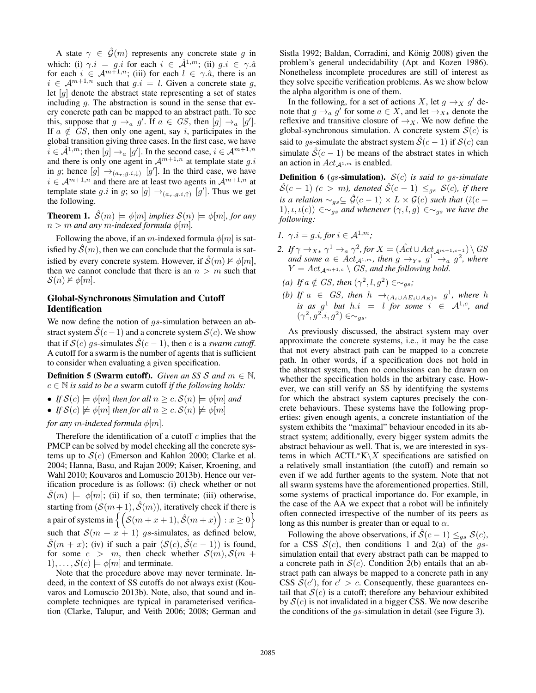A state  $\gamma \in \hat{\mathcal{G}}(m)$  represents any concrete state g in which: (i)  $\gamma.i = g.i$  for each  $i \in \mathcal{A}^{1,m}$ ; (ii)  $g.i \in \gamma.\hat{a}$ for each  $i \in \mathcal{A}^{m+1,n}$ ; (iii) for each  $l \in \gamma \hat{a}$ , there is an  $i \in \mathcal{A}^{m+1,n}$  such that  $q.i = l$ . Given a concrete state q, let  $[g]$  denote the abstract state representing a set of states including  $q$ . The abstraction is sound in the sense that every concrete path can be mapped to an abstract path. To see this, suppose that  $g \to_a g'$ . If  $a \in GS$ , then  $[g] \to_a [g']$ . If  $a \notin \overline{G}S$ , then only one agent, say i, participates in the global transition giving three cases. In the first case, we have  $i \in \mathcal{A}^{1,m}$ ; then  $[g] \rightarrow_a [g']$ . In the second case,  $i \in \mathcal{A}^{m+1,n}$ and there is only one agent in  $A^{m+1,n}$  at template state g.i. in g; hence  $[g] \rightarrow_{(a_{\tau},g,i,\downarrow)} [g']$ . In the third case, we have  $i \in \mathcal{A}^{m+1,n}$  and there are at least two agents in  $\mathcal{A}^{m+1,n}$  at template state g.i in g; so  $[g] \rightarrow_{(a_{\tau},g,i,\uparrow)} [g']$ . Thus we get the following.

**Theorem 1.**  $\mathcal{S}(m) \models \phi[m]$  *implies*  $\mathcal{S}(n) \models \phi[m]$ *, for any*  $n > m$  and any m-indexed formula  $\phi[m]$ .

Following the above, if an m-indexed formula  $\phi[m]$  is satisfied by  $\mathcal{S}(m)$ , then we can conclude that the formula is satisfied by every concrete system. However, if  $\mathcal{S}(m) \not\vDash \phi[m]$ , then we cannot conclude that there is an  $n > m$  such that  $\mathcal{S}(n) \not\vDash \phi[m].$ 

# Global-Synchronous Simulation and Cutoff Identification

We now define the notion of  $gs$ -simulation between an abstract system  $\mathcal{S}(c-1)$  and a concrete system  $\mathcal{S}(c)$ . We show that if  $S(c)$  qs-simulates  $\hat{S}(c-1)$ , then c is a *swarm cutoff*. A cutoff for a swarm is the number of agents that is sufficient to consider when evaluating a given specification.

**Definition 5 (Swarm cutoff).** *Given an SS S and*  $m \in \mathbb{N}$ *,*  $c \in \mathbb{N}$  *is said to be a swarm cutoff if the following holds:* 

- *If*  $S(c) \models \phi[m]$  *then for all*  $n \ge c$ .  $S(n) \models \phi[m]$  *and*
- *If*  $S(c) \not\models \phi[m]$  *then for all*  $n > c$ .  $S(n) \not\models \phi[m]$

*for any m*-indexed formula  $\phi[m]$ .

Therefore the identification of a cutoff  $c$  implies that the PMCP can be solved by model checking all the concrete systems up to  $S(c)$  (Emerson and Kahlon 2000; Clarke et al. 2004; Hanna, Basu, and Rajan 2009; Kaiser, Kroening, and Wahl 2010; Kouvaros and Lomuscio 2013b). Hence our verification procedure is as follows: (i) check whether or not  $\hat{\mathcal{S}}(m) \models \phi[m]$ ; (ii) if so, then terminate; (iii) otherwise, starting from  $(S(m+1), \hat{S}(m))$ , iteratively check if there is a pair of systems in  $\big\{ \big( \mathcal{S}(m + x + 1), \hat{\mathcal{S}}(m + x) \big) : x \ge 0 \big\}$ such that  $S(m + x + 1)$  gs-simulates, as defined below,  $\hat{\mathcal{S}}(m + x)$ ; (iv) if such a pair  $(\mathcal{S}(c), \hat{\mathcal{S}}(c - 1))$  is found, for some  $c > m$ , then check whether  $S(m)$ ,  $S(m +$  $1), \ldots, S(c) \models \phi[m]$  and terminate.

Note that the procedure above may never terminate. Indeed, in the context of SS cutoffs do not always exist (Kouvaros and Lomuscio 2013b). Note, also, that sound and incomplete techniques are typical in parameterised verification (Clarke, Talupur, and Veith 2006; 2008; German and

Sistla 1992; Baldan, Corradini, and König 2008) given the problem's general undecidability (Apt and Kozen 1986). Nonetheless incomplete procedures are still of interest as they solve specific verification problems. As we show below the alpha algorithm is one of them.

In the following, for a set of actions X, let  $g \rightarrow_X g'$  denote that  $g \rightarrow_a g'$  for some  $a \in X$ , and let  $\rightarrow_{X*}$  denote the reflexive and transitive closure of  $\rightarrow_X$ . We now define the global-synchronous simulation. A concrete system  $\mathcal{S}(c)$  is said to gs-simulate the abstract system  $\hat{S}(c-1)$  if  $S(c)$  can simulate  $\hat{S}(c-1)$  be means of the abstract states in which an action in  $Act_{\mathcal{A}^{1,m}}$  is enabled.

Definition 6 (gs-simulation). S(c) *is said to* gs*-simulate*  $\hat{\mathcal{S}}(c-1)$  (*c* > *m*), denoted  $\hat{\mathcal{S}}(c-1) \leq_{qs} \mathcal{S}(c)$ , if there *is a relation*  $\sim_{as} \subseteq \hat{\mathcal{G}}(c-1) \times L \times \mathcal{G}(c)$  *such that* ( $\hat{\iota}(c-1)$ ) 1), *ι*, *ι*(*c*)) ∈∼<sub>gs</sub> and whenever  $(γ, l, g)$  ∈∼<sub>gs</sub> we have the *following:*

$$
1. \ \ \gamma.i = g.i, \text{for } i \in \mathcal{A}^{1,m};
$$

- 2. If  $\gamma \to_{X^*} \gamma^1 \to_a \gamma^2$ , for  $X = (\hat{Act} \cup Act_{\mathcal{A}^{m+1,c-1}}) \setminus GS$ and some  $a \in Act_{\mathcal{A}^{1,m}}$ , then  $g \rightarrow_{Y*} g^1 \rightarrow_a g^2$ , where  $Y = Act_{\mathcal{A}^{m+1,c}} \setminus GS$ , and the following hold.
- (a) If  $a \notin GS$ , then  $(\gamma^2, l, g^2) \in \sim_{gs}$ ;
- *(b)* If  $a \in GS$ , then  $h \rightarrow_{(A_i \cup AE_i \cup A_E)*} g^1$ , where h *is as*  $g^1$  *but*  $h.i = l$  *for some*  $i \in \mathcal{A}^{1,c}$ *, and*  $(\gamma^2, g^2, i, g^2) \in \sim_{gs}.$

As previously discussed, the abstract system may over approximate the concrete systems, i.e., it may be the case that not every abstract path can be mapped to a concrete path. In other words, if a specification does not hold in the abstract system, then no conclusions can be drawn on whether the specification holds in the arbitrary case. However, we can still verify an SS by identifying the systems for which the abstract system captures precisely the concrete behaviours. These systems have the following properties: given enough agents, a concrete instantiation of the system exhibits the "maximal" behaviour encoded in its abstract system; additionally, every bigger system admits the abstract behaviour as well. That is, we are interested in systems in which  $\text{ACTL}^*K\backslash X$  specifications are satisfied on a relatively small instantiation (the cutoff) and remain so even if we add further agents to the system. Note that not all swarm systems have the aforementioned properties. Still, some systems of practical importance do. For example, in the case of the AA we expect that a robot will be infinitely often connected irrespective of the number of its peers as long as this number is greater than or equal to  $\alpha$ .

Following the above observations, if  $\mathcal{S}(c-1) \leq_{as} \mathcal{S}(c)$ , for a CSS  $S(c)$ , then conditions 1 and 2(a) of the gssimulation entail that every abstract path can be mapped to a concrete path in  $S(c)$ . Condition 2(b) entails that an abstract path can always be mapped to a concrete path in any CSS  $\mathcal{S}(c')$ , for  $c' > c$ . Consequently, these guarantees entail that  $S(c)$  is a cutoff; therefore any behaviour exhibited by  $S(c)$  is not invalidated in a bigger CSS. We now describe the conditions of the gs-simulation in detail (see Figure 3).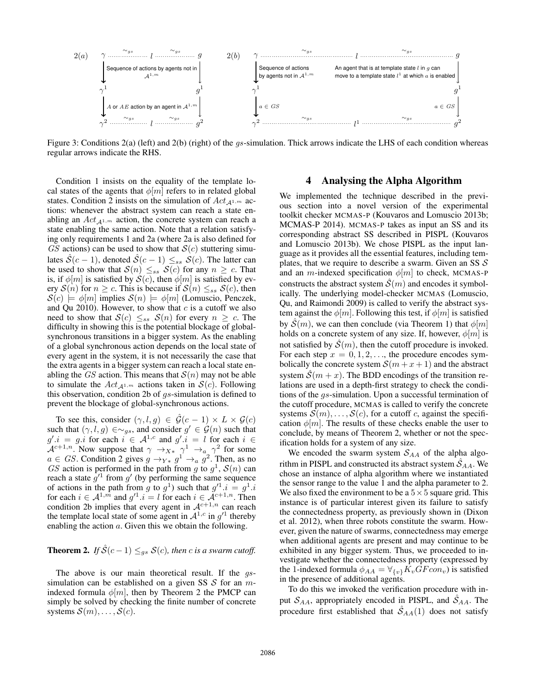

Figure 3: Conditions 2(a) (left) and 2(b) (right) of the *gs*-simulation. Thick arrows indicate the LHS of each condition whereas regular arrows indicate the RHS.

Condition 1 insists on the equality of the template local states of the agents that  $\phi[m]$  refers to in related global states. Condition 2 insists on the simulation of  $Act_{A^{1,m}}$  actions: whenever the abstract system can reach a state enabling an  $Act_{\mathcal{A}^{1,m}}$  action, the concrete system can reach a state enabling the same action. Note that a relation satisfying only requirements 1 and 2a (where 2a is also defined for GS actions) can be used to show that  $\mathcal{S}(c)$  stuttering simulates  $\hat{S}(c-1)$ , denoted  $\hat{S}(c-1) \leq_{ss} S(c)$ . The latter can be used to show that  $S(n) \leq_{ss} S(c)$  for any  $n \geq c$ . That is, if  $\phi[m]$  is satisfied by  $\mathcal{S}(c)$ , then  $\phi[m]$  is satisfied by every  $S(n)$  for  $n \geq c$ . This is because if  $S(n) \leq_{ss} S(c)$ , then  $\mathcal{S}(c) \models \phi[m]$  implies  $\mathcal{S}(n) \models \phi[m]$  (Lomuscio, Penczek, and Qu 2010). However, to show that  $c$  is a cutoff we also need to show that  $S(c) \leq_{ss} S(n)$  for every  $n \geq c$ . The difficulty in showing this is the potential blockage of globalsynchronous transitions in a bigger system. As the enabling of a global synchronous action depends on the local state of every agent in the system, it is not necessarily the case that the extra agents in a bigger system can reach a local state enabling the GS action. This means that  $S(n)$  may not be able to simulate the  $Act_{\mathcal{A}^{1,m}}$  actions taken in  $\mathcal{S}(c)$ . Following this observation, condition 2b of gs-simulation is defined to prevent the blockage of global-synchronous actions.

To see this, consider  $(\gamma, l, g) \in \hat{\mathcal{G}}(c-1) \times L \times \mathcal{G}(c)$ such that  $(\gamma, l, g) \in \sim_{gs}$ , and consider  $g' \in \mathcal{G}(n)$  such that  $g'.i = g.i$  for each  $i \in A^{1,c}$  and  $g'.i = l$  for each  $i \in A$  $\mathcal{A}^{c+1,n}$ . Now suppose that  $\gamma \to_{X^*} \gamma^1 \to_{a} \gamma^2$  for some  $a \in GS$ . Condition 2 gives  $g \rightarrow_{Y*} g^1 \rightarrow_a g^2$ . Then, as no GS action is performed in the path from g to  $g^1$ ,  $\mathcal{S}(n)$  can reach a state  $g^{1}$  from g' (by performing the same sequence of actions in the path from g to  $g^1$ ) such that  $g'^1 \cdot i = g^1 \cdot i$ for each  $i \in \mathcal{A}^{1,m}$  and  $g'^{1} \cdot i = l$  for each  $i \in \mathcal{A}^{c+1,n}$ . Then condition 2b implies that every agent in  $A^{c+1,n}$  can reach the template local state of some agent in  $A^{1,c}$  in  $g'^{1}$  thereby enabling the action a. Given this we obtain the following.

**Theorem 2.** *If*  $\hat{S}(c-1) \leq_{gs} S(c)$ *, then c is a swarm cutoff.* 

The above is our main theoretical result. If the gssimulation can be established on a given SS  $S$  for an mindexed formula  $\phi[m]$ , then by Theorem 2 the PMCP can simply be solved by checking the finite number of concrete systems  $S(m), \ldots, S(c)$ .

# 4 Analysing the Alpha Algorithm

We implemented the technique described in the previous section into a novel version of the experimental toolkit checker MCMAS-P (Kouvaros and Lomuscio 2013b; MCMAS-P 2014). MCMAS-P takes as input an SS and its corresponding abstract SS described in PISPL (Kouvaros and Lomuscio 2013b). We chose PISPL as the input language as it provides all the essential features, including templates, that we require to describe a swarm. Given an SS  $\mathcal{S}$ and an m-indexed specification  $\phi[m]$  to check, MCMAS-P constructs the abstract system  $\mathcal{S}(m)$  and encodes it symbolically. The underlying model-checker MCMAS (Lomuscio, Qu, and Raimondi 2009) is called to verify the abstract system against the  $\phi[m]$ . Following this test, if  $\phi[m]$  is satisfied by  $\mathcal{S}(m)$ , we can then conclude (via Theorem 1) that  $\phi[m]$ holds on a concrete system of any size. If, however,  $\phi[m]$  is not satisfied by  $\mathcal{S}(m)$ , then the cutoff procedure is invoked. For each step  $x = 0, 1, 2, \ldots$ , the procedure encodes symbolically the concrete system  $S(m + x + 1)$  and the abstract system  $\hat{\mathcal{S}}(m + x)$ . The BDD encodings of the transition relations are used in a depth-first strategy to check the conditions of the gs-simulation. Upon a successful termination of the cutoff procedure, MCMAS is called to verify the concrete systems  $S(m), \ldots, S(c)$ , for a cutoff c, against the specification  $\phi[m]$ . The results of these checks enable the user to conclude, by means of Theorem 2, whether or not the specification holds for a system of any size.

We encoded the swarm system  $S_{AA}$  of the alpha algorithm in PISPL and constructed its abstract system  $\hat{S}_{AA}$ . We chose an instance of alpha algorithm where we instantiated the sensor range to the value 1 and the alpha parameter to 2. We also fixed the environment to be a  $5 \times 5$  square grid. This instance is of particular interest given its failure to satisfy the connectedness property, as previously shown in (Dixon et al. 2012), when three robots constitute the swarm. However, given the nature of swarms, connectedness may emerge when additional agents are present and may continue to be exhibited in any bigger system. Thus, we proceeded to investigate whether the connectedness property (expressed by the 1-indexed formula  $\phi_{AA} = \forall_{\{v\}} K_v G F con_v$  is satisfied in the presence of additional agents.

To do this we invoked the verification procedure with input  $S_{AA}$ , appropriately encoded in PISPL, and  $\hat{S}_{AA}$ . The procedure first established that  $\hat{S}_{AA}(1)$  does not satisfy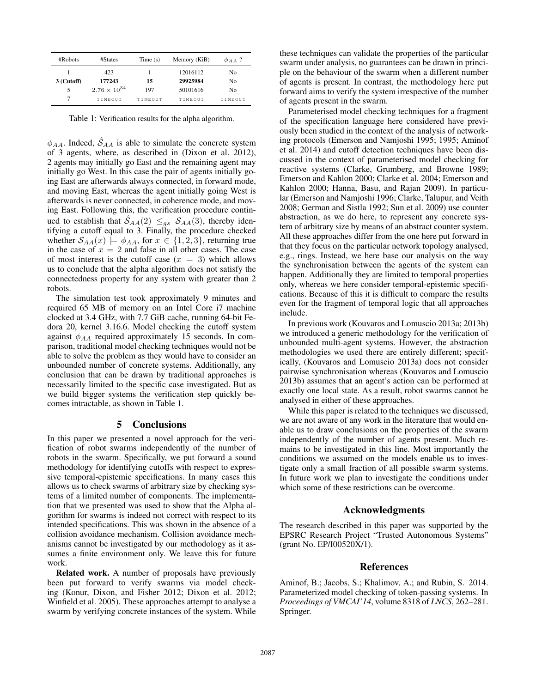| #Robots    | #States               | Time(s) | Memory (KiB) | $\phi$ A A ? |
|------------|-----------------------|---------|--------------|--------------|
|            | 423                   |         | 12016112     | No           |
| 3 (Cutoff) | 177243                | 15      | 29925984     | No           |
| 5          | $2.76 \times 10^{34}$ | 197     | 50101616     | No           |
|            | TIMEOUT               | TIMEOUT | TIMEOUT      | TIMEOUT      |

Table 1: Verification results for the alpha algorithm.

 $\phi_{AA}$ . Indeed,  $\mathcal{S}_{AA}$  is able to simulate the concrete system of 3 agents, where, as described in (Dixon et al. 2012), 2 agents may initially go East and the remaining agent may initially go West. In this case the pair of agents initially going East are afterwards always connected, in forward mode, and moving East, whereas the agent initially going West is afterwards is never connected, in coherence mode, and moving East. Following this, the verification procedure continued to establish that  $\hat{S}_{AA}(2) \leq_{gs} S_{AA}(3)$ , thereby identifying a cutoff equal to 3. Finally, the procedure checked whether  $S_{AA}(x) \models \phi_{AA}$ , for  $x \in \{1, 2, 3\}$ , returning true in the case of  $x = 2$  and false in all other cases. The case of most interest is the cutoff case  $(x = 3)$  which allows us to conclude that the alpha algorithm does not satisfy the connectedness property for any system with greater than 2 robots.

The simulation test took approximately 9 minutes and required 65 MB of memory on an Intel Core i7 machine clocked at 3.4 GHz, with 7.7 GiB cache, running 64-bit Fedora 20, kernel 3.16.6. Model checking the cutoff system against  $\phi_{AA}$  required approximately 15 seconds. In comparison, traditional model checking techniques would not be able to solve the problem as they would have to consider an unbounded number of concrete systems. Additionally, any conclusion that can be drawn by traditional approaches is necessarily limited to the specific case investigated. But as we build bigger systems the verification step quickly becomes intractable, as shown in Table 1.

### 5 Conclusions

In this paper we presented a novel approach for the verification of robot swarms independently of the number of robots in the swarm. Specifically, we put forward a sound methodology for identifying cutoffs with respect to expressive temporal-epistemic specifications. In many cases this allows us to check swarms of arbitrary size by checking systems of a limited number of components. The implementation that we presented was used to show that the Alpha algorithm for swarms is indeed not correct with respect to its intended specifications. This was shown in the absence of a collision avoidance mechanism. Collision avoidance mechanisms cannot be investigated by our methodology as it assumes a finite environment only. We leave this for future work.

Related work. A number of proposals have previously been put forward to verify swarms via model checking (Konur, Dixon, and Fisher 2012; Dixon et al. 2012; Winfield et al. 2005). These approaches attempt to analyse a swarm by verifying concrete instances of the system. While

these techniques can validate the properties of the particular swarm under analysis, no guarantees can be drawn in principle on the behaviour of the swarm when a different number of agents is present. In contrast, the methodology here put forward aims to verify the system irrespective of the number of agents present in the swarm.

Parameterised model checking techniques for a fragment of the specification language here considered have previously been studied in the context of the analysis of networking protocols (Emerson and Namjoshi 1995; 1995; Aminof et al. 2014) and cutoff detection techniques have been discussed in the context of parameterised model checking for reactive systems (Clarke, Grumberg, and Browne 1989; Emerson and Kahlon 2000; Clarke et al. 2004; Emerson and Kahlon 2000; Hanna, Basu, and Rajan 2009). In particular (Emerson and Namjoshi 1996; Clarke, Talupur, and Veith 2008; German and Sistla 1992; Sun et al. 2009) use counter abstraction, as we do here, to represent any concrete system of arbitrary size by means of an abstract counter system. All these approaches differ from the one here put forward in that they focus on the particular network topology analysed, e.g., rings. Instead, we here base our analysis on the way the synchronisation between the agents of the system can happen. Additionally they are limited to temporal properties only, whereas we here consider temporal-epistemic specifications. Because of this it is difficult to compare the results even for the fragment of temporal logic that all approaches include.

In previous work (Kouvaros and Lomuscio 2013a; 2013b) we introduced a generic methodology for the verification of unbounded multi-agent systems. However, the abstraction methodologies we used there are entirely different; specifically, (Kouvaros and Lomuscio 2013a) does not consider pairwise synchronisation whereas (Kouvaros and Lomuscio 2013b) assumes that an agent's action can be performed at exactly one local state. As a result, robot swarms cannot be analysed in either of these approaches.

While this paper is related to the techniques we discussed, we are not aware of any work in the literature that would enable us to draw conclusions on the properties of the swarm independently of the number of agents present. Much remains to be investigated in this line. Most importantly the conditions we assumed on the models enable us to investigate only a small fraction of all possible swarm systems. In future work we plan to investigate the conditions under which some of these restrictions can be overcome.

### Acknowledgments

The research described in this paper was supported by the EPSRC Research Project "Trusted Autonomous Systems" (grant No. EP/I00520X/1).

### References

Aminof, B.; Jacobs, S.; Khalimov, A.; and Rubin, S. 2014. Parameterized model checking of token-passing systems. In *Proceedings of VMCAI'14*, volume 8318 of *LNCS*, 262–281. Springer.